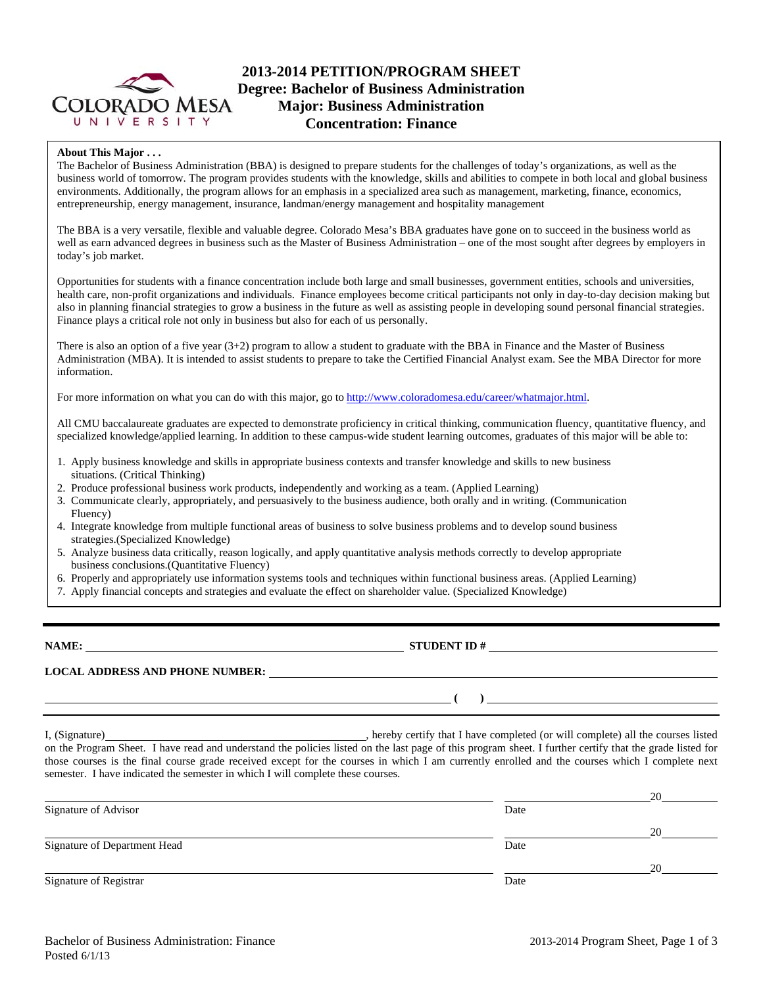

## **2013-2014 PETITION/PROGRAM SHEET Degree: Bachelor of Business Administration Major: Business Administration Concentration: Finance**

### **About This Major . . .**

The Bachelor of Business Administration (BBA) is designed to prepare students for the challenges of today's organizations, as well as the business world of tomorrow. The program provides students with the knowledge, skills and abilities to compete in both local and global business environments. Additionally, the program allows for an emphasis in a specialized area such as management, marketing, finance, economics, entrepreneurship, energy management, insurance, landman/energy management and hospitality management

The BBA is a very versatile, flexible and valuable degree. Colorado Mesa's BBA graduates have gone on to succeed in the business world as well as earn advanced degrees in business such as the Master of Business Administration – one of the most sought after degrees by employers in today's job market.

Opportunities for students with a finance concentration include both large and small businesses, government entities, schools and universities, health care, non-profit organizations and individuals. Finance employees become critical participants not only in day-to-day decision making but also in planning financial strategies to grow a business in the future as well as assisting people in developing sound personal financial strategies. Finance plays a critical role not only in business but also for each of us personally.

There is also an option of a five year (3+2) program to allow a student to graduate with the BBA in Finance and the Master of Business Administration (MBA). It is intended to assist students to prepare to take the Certified Financial Analyst exam. See the MBA Director for more information.

For more information on what you can do with this major, go to http://www.coloradomesa.edu/career/whatmajor.html.

All CMU baccalaureate graduates are expected to demonstrate proficiency in critical thinking, communication fluency, quantitative fluency, and specialized knowledge/applied learning. In addition to these campus-wide student learning outcomes, graduates of this major will be able to:

- 1. Apply business knowledge and skills in appropriate business contexts and transfer knowledge and skills to new business situations. (Critical Thinking)
- 2. Produce professional business work products, independently and working as a team. (Applied Learning)
- 3. Communicate clearly, appropriately, and persuasively to the business audience, both orally and in writing. (Communication Fluency)
- 4. Integrate knowledge from multiple functional areas of business to solve business problems and to develop sound business strategies.(Specialized Knowledge)
- 5. Analyze business data critically, reason logically, and apply quantitative analysis methods correctly to develop appropriate business conclusions.(Quantitative Fluency)
- 6. Properly and appropriately use information systems tools and techniques within functional business areas. (Applied Learning)
- 7. Apply financial concepts and strategies and evaluate the effect on shareholder value. (Specialized Knowledge)

**NAME: STUDENT ID #**

**LOCAL ADDRESS AND PHONE NUMBER:**

 **( )** 

I, (Signature) **Source 2008** (Signature) **, hereby certify that I have completed** (or will complete) all the courses listed on the Program Sheet. I have read and understand the policies listed on the last page of this program sheet. I further certify that the grade listed for those courses is the final course grade received except for the courses in which I am currently enrolled and the courses which I complete next semester. I have indicated the semester in which I will complete these courses.

|                              |      | 20 |
|------------------------------|------|----|
| Signature of Advisor         | Date |    |
|                              |      | 20 |
| Signature of Department Head | Date |    |
|                              |      | 20 |
| Signature of Registrar       | Date |    |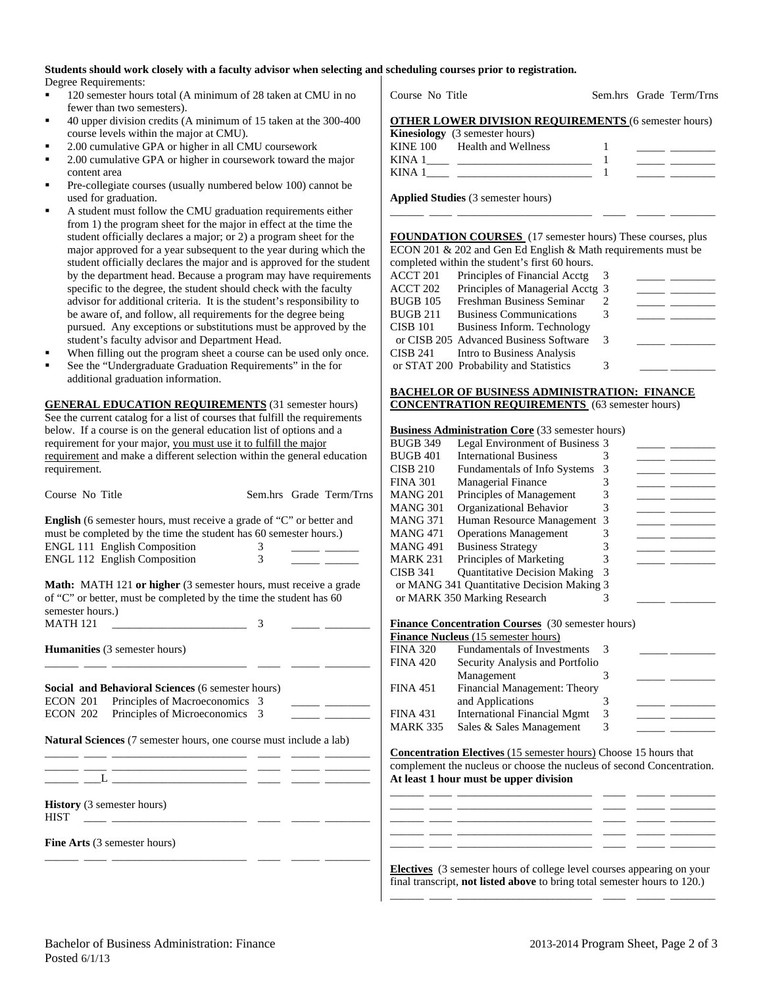#### **Students should work closely with a faculty advisor when selecting and scheduling courses prior to registration.**  Degree Requirements:

- <sup>120</sup> semester hours total (A minimum of 28 taken at CMU in no fewer than two semesters).
- 40 upper division credits (A minimum of 15 taken at the 300-400 course levels within the major at CMU).
- 2.00 cumulative GPA or higher in all CMU coursework
- 2.00 cumulative GPA or higher in coursework toward the major content area
- Pre-collegiate courses (usually numbered below 100) cannot be used for graduation.
- A student must follow the CMU graduation requirements either from 1) the program sheet for the major in effect at the time the student officially declares a major; or 2) a program sheet for the major approved for a year subsequent to the year during which the student officially declares the major and is approved for the student by the department head. Because a program may have requirements specific to the degree, the student should check with the faculty advisor for additional criteria. It is the student's responsibility to be aware of, and follow, all requirements for the degree being pursued. Any exceptions or substitutions must be approved by the student's faculty advisor and Department Head.
- When filling out the program sheet a course can be used only once.
- See the "Undergraduate Graduation Requirements" in the for additional graduation information.

**GENERAL EDUCATION REQUIREMENTS** (31 semester hours) See the current catalog for a list of courses that fulfill the requirements below. If a course is on the general education list of options and a requirement for your major, you must use it to fulfill the major requirement and make a different selection within the general education requirement.

| Course No Title                                                                                                                                                                                                                |                    | Sem.hrs Grade Term/Trns  |
|--------------------------------------------------------------------------------------------------------------------------------------------------------------------------------------------------------------------------------|--------------------|--------------------------|
| <b>English</b> (6 semester hours, must receive a grade of "C" or better and<br>must be completed by the time the student has 60 semester hours.)<br><b>ENGL 111 English Composition</b><br><b>ENGL 112 English Composition</b> | 3<br>$\mathcal{F}$ |                          |
| <b>Math:</b> MATH 121 or higher (3 semester hours, must receive a grade<br>of "C" or better, must be completed by the time the student has 60<br>semester hours.)                                                              |                    |                          |
| <b>MATH 121</b>                                                                                                                                                                                                                | 3                  |                          |
| <b>Humanities</b> (3 semester hours)                                                                                                                                                                                           |                    |                          |
| Social and Behavioral Sciences (6 semester hours)                                                                                                                                                                              |                    |                          |
| ECON 201 Principles of Macroeconomics 3                                                                                                                                                                                        |                    | the contract of the con- |
| ECON 202 Principles of Microeconomics                                                                                                                                                                                          | 3                  |                          |
| Natural Sciences (7 semester hours, one course must include a lab)                                                                                                                                                             |                    |                          |
| <u> 1980 - Johann John Stein, market fransk konge og det for de større og store og store og store og store og s</u>                                                                                                            |                    |                          |
|                                                                                                                                                                                                                                |                    |                          |
| <b>History</b> (3 semester hours)<br><b>HIST</b><br>the control of the control of the control of                                                                                                                               |                    |                          |
| <b>Fine Arts</b> (3 semester hours)                                                                                                                                                                                            |                    |                          |

Course No Title Sem.hrs Grade Term/Trns

|              | <b>OTHER LOWER DIVISION REQUIREMENTS (6 semester hours)</b> |  |
|--------------|-------------------------------------------------------------|--|
| $\mathbf{L}$ |                                                             |  |

|          | <b>Kinesiology</b> (3 semester hours) |  |
|----------|---------------------------------------|--|
| KINE 100 | Health and Wellness                   |  |
| KINA 1   |                                       |  |
| KINA.    |                                       |  |

\_\_\_\_\_\_ \_\_\_\_ \_\_\_\_\_\_\_\_\_\_\_\_\_\_\_\_\_\_\_\_\_\_\_\_ \_\_\_\_ \_\_\_\_\_ \_\_\_\_\_\_\_\_

**Applied Studies** (3 semester hours)

**FOUNDATION COURSES** (17 semester hours) These courses, plus ECON 201 & 202 and Gen Ed English & Math requirements must be completed within the student's first 60 hours.

|          | completed within the student s mist ob hours. |   |  |
|----------|-----------------------------------------------|---|--|
| ACCT 201 | Principles of Financial Acctg                 |   |  |
| ACCT 202 | Principles of Managerial Acctg 3              |   |  |
| BUGB 105 | Freshman Business Seminar                     |   |  |
| BUGB 211 | <b>Business Communications</b>                |   |  |
| CISB 101 | Business Inform. Technology                   |   |  |
|          | or CISB 205 Advanced Business Software        | 3 |  |
| CISB 241 | Intro to Business Analysis                    |   |  |
|          | or STAT 200 Probability and Statistics        |   |  |
|          |                                               |   |  |

#### **BACHELOR OF BUSINESS ADMINISTRATION: FINANCE CONCENTRATION REQUIREMENTS** (63 semester hours)

#### **Business Administration Core** (33 semester hours)

| <b>International Business</b>       |                                                                                                              |  |
|-------------------------------------|--------------------------------------------------------------------------------------------------------------|--|
| Fundamentals of Info Systems        |                                                                                                              |  |
| <b>Managerial Finance</b>           |                                                                                                              |  |
| Principles of Management            |                                                                                                              |  |
| Organizational Behavior             |                                                                                                              |  |
|                                     |                                                                                                              |  |
| <b>Operations Management</b>        |                                                                                                              |  |
| <b>Business Strategy</b>            |                                                                                                              |  |
| Principles of Marketing             |                                                                                                              |  |
| <b>Quantitative Decision Making</b> |                                                                                                              |  |
|                                     |                                                                                                              |  |
| or MARK 350 Marking Research        |                                                                                                              |  |
|                                     | Legal Environment of Business 3<br>Human Resource Management 3<br>or MANG 341 Quantitative Decision Making 3 |  |

#### **Finance Concentration Courses** (30 semester hours)

|                 | <b>FINANCE CONCENTE ATION COUPSES</b> (50 SENIESIEI HOURS) |   |  |
|-----------------|------------------------------------------------------------|---|--|
|                 | <b>Finance Nucleus</b> (15 semester hours)                 |   |  |
| <b>FINA 320</b> | <b>Fundamentals of Investments</b>                         |   |  |
| <b>FINA 420</b> | Security Analysis and Portfolio                            |   |  |
|                 | Management                                                 |   |  |
| <b>FINA 451</b> | Financial Management: Theory                               |   |  |
|                 | and Applications                                           |   |  |
| <b>FINA 431</b> | <b>International Financial Mgmt</b>                        | 3 |  |
| <b>MARK 335</b> | Sales & Sales Management                                   | 3 |  |
|                 |                                                            |   |  |

**Concentration Electives** (15 semester hours) Choose 15 hours that complement the nucleus or choose the nucleus of second Concentration. **At least 1 hour must be upper division** \_\_\_\_\_\_ \_\_\_\_ \_\_\_\_\_\_\_\_\_\_\_\_\_\_\_\_\_\_\_\_\_\_\_\_ \_\_\_\_ \_\_\_\_\_ \_\_\_\_\_\_\_\_

\_\_\_\_\_\_ \_\_\_\_ \_\_\_\_\_\_\_\_\_\_\_\_\_\_\_\_\_\_\_\_\_\_\_\_ \_\_\_\_ \_\_\_\_\_ \_\_\_\_\_\_\_\_

\_\_\_\_\_\_ \_\_\_\_ \_\_\_\_\_\_\_\_\_\_\_\_\_\_\_\_\_\_\_\_\_\_\_\_ \_\_\_\_ \_\_\_\_\_ \_\_\_\_\_\_\_\_

| <b>Electives</b> (3 semester hours of college level courses appearing on your    |
|----------------------------------------------------------------------------------|
| final transcript, <b>not listed above</b> to bring total semester hours to 120.) |

\_\_\_\_\_\_ \_\_\_\_ \_\_\_\_\_\_\_\_\_\_\_\_\_\_\_\_\_\_\_\_\_\_\_\_ \_\_\_\_ \_\_\_\_\_ \_\_\_\_\_\_\_\_

\_\_\_\_\_\_ \_\_\_\_ \_\_\_\_\_\_\_\_\_\_\_\_\_\_\_\_\_\_\_\_\_\_\_\_ \_\_\_\_ \_\_\_\_\_ \_\_\_\_\_\_\_\_